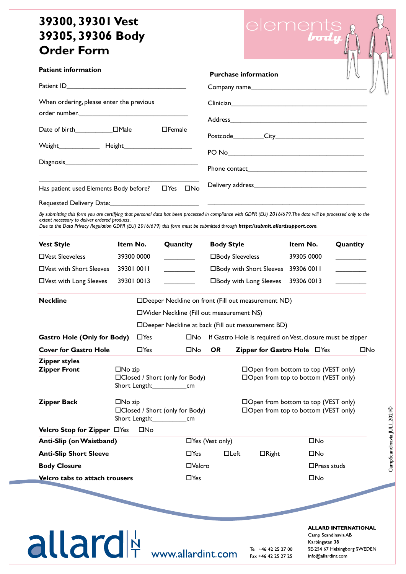## **39300, 39301 Vest 39305, 39306 Body Order Form**

**Patient information**



CampScandinavia,JULI\_2021©

CampScandinavia, JULI\_2021©

| When ordering, please enter the previous |               |  |  |  |  |  |
|------------------------------------------|---------------|--|--|--|--|--|
|                                          |               |  |  |  |  |  |
|                                          | $\Box$ Female |  |  |  |  |  |
|                                          |               |  |  |  |  |  |
|                                          |               |  |  |  |  |  |
|                                          |               |  |  |  |  |  |
|                                          |               |  |  |  |  |  |

*By submitting this form you are certifying that personal data has been processed in compliance with GDPR (EU) 2016/679. The data will be processed only to the extent necessary to deliver ordered products.*

*Due to the Data Privacy Regulation GDPR (EU) 2016/679) this form must be submitted through https://submit.allardsupport.com.*

| <b>Vest Style</b>                           | Item No.                                                                   |                                                             | Quantity                                                                   |               | <b>Body Style</b>                                                                  |                                                                              | Item No.       | Quantity                                                                                                 |
|---------------------------------------------|----------------------------------------------------------------------------|-------------------------------------------------------------|----------------------------------------------------------------------------|---------------|------------------------------------------------------------------------------------|------------------------------------------------------------------------------|----------------|----------------------------------------------------------------------------------------------------------|
| □ Vest Sleeveless                           | 39300 0000                                                                 |                                                             |                                                                            |               | □Body Sleeveless                                                                   |                                                                              | 39305 0000     |                                                                                                          |
| □Vest with Short Sleeves                    | 39301 0011                                                                 |                                                             |                                                                            |               |                                                                                    | □Body with Short Sleeves                                                     | 39306 0011     |                                                                                                          |
| □Vest with Long Sleeves                     | 39301 0013                                                                 |                                                             |                                                                            |               |                                                                                    | □Body with Long Sleeves                                                      | 39306 0013     |                                                                                                          |
| <b>Neckline</b>                             |                                                                            | □Deeper Neckline on front (Fill out measurement ND)         |                                                                            |               |                                                                                    |                                                                              |                |                                                                                                          |
|                                             |                                                                            |                                                             |                                                                            |               | □Wider Neckline (Fill out measurement NS)                                          |                                                                              |                |                                                                                                          |
|                                             |                                                                            | □Deeper Neckline at back (Fill out measurement BD)          |                                                                            |               |                                                                                    |                                                                              |                |                                                                                                          |
| <b>Gastro Hole (Only for Body)</b>          |                                                                            | $\Box$ Yes                                                  | $\square$ No<br>If Gastro Hole is required on Vest, closure must be zipper |               |                                                                                    |                                                                              |                |                                                                                                          |
| <b>Cover for Gastro Hole</b>                |                                                                            | $\Box$ Yes                                                  |                                                                            | $\square$ No  | <b>OR</b>                                                                          | Zipper for Gastro Hole □ Yes                                                 |                | $\square$ No                                                                                             |
| <b>Zipper styles</b><br><b>Zipper Front</b> | $\square$ No zip                                                           | □Closed / Short (only for Body)<br>Short Length:___________ |                                                                            | cm            |                                                                                    | □Open from bottom to top (VEST only)<br>□Open from top to bottom (VEST only) |                |                                                                                                          |
| <b>Zipper Back</b>                          | $\square$ No zip<br>□Closed / Short (only for Body)<br>Short Length:<br>cm |                                                             |                                                                            |               | $\Box$ Open from bottom to top (VEST only)<br>□Open from top to bottom (VEST only) |                                                                              |                |                                                                                                          |
| Velcro Stop for Zipper □Yes                 |                                                                            | $\square$ No                                                |                                                                            |               |                                                                                    |                                                                              |                |                                                                                                          |
| Anti-Slip (on Waistband)                    |                                                                            |                                                             |                                                                            |               | □Yes (Vest only)                                                                   |                                                                              | $\square$ No   |                                                                                                          |
| <b>Anti-Slip Short Sleeve</b>               |                                                                            |                                                             |                                                                            | $\Box$ Yes    | $\Box$ Left                                                                        | $\Box$ Right                                                                 | $\square$ No   |                                                                                                          |
| <b>Body Closure</b>                         |                                                                            |                                                             |                                                                            | $\Box$ Velcro |                                                                                    |                                                                              |                | $\Box$ Press studs                                                                                       |
| Velcro tabs to attach trousers              |                                                                            |                                                             |                                                                            | $\Box$ Yes    |                                                                                    |                                                                              | $\square$ No   |                                                                                                          |
|                                             |                                                                            |                                                             |                                                                            |               |                                                                                    |                                                                              |                |                                                                                                          |
| allard                                      |                                                                            |                                                             |                                                                            |               | www.allardint.com                                                                  | Tel +46 42 25 27 00<br>Fax +46 42 25 27 25                                   | Karbingatan 38 | <b>ALLARD INTERNATIONAL</b><br>Camp Scandinavia AB<br>SE 254 67 Helsingborg SWEDEN<br>info@allardint.com |